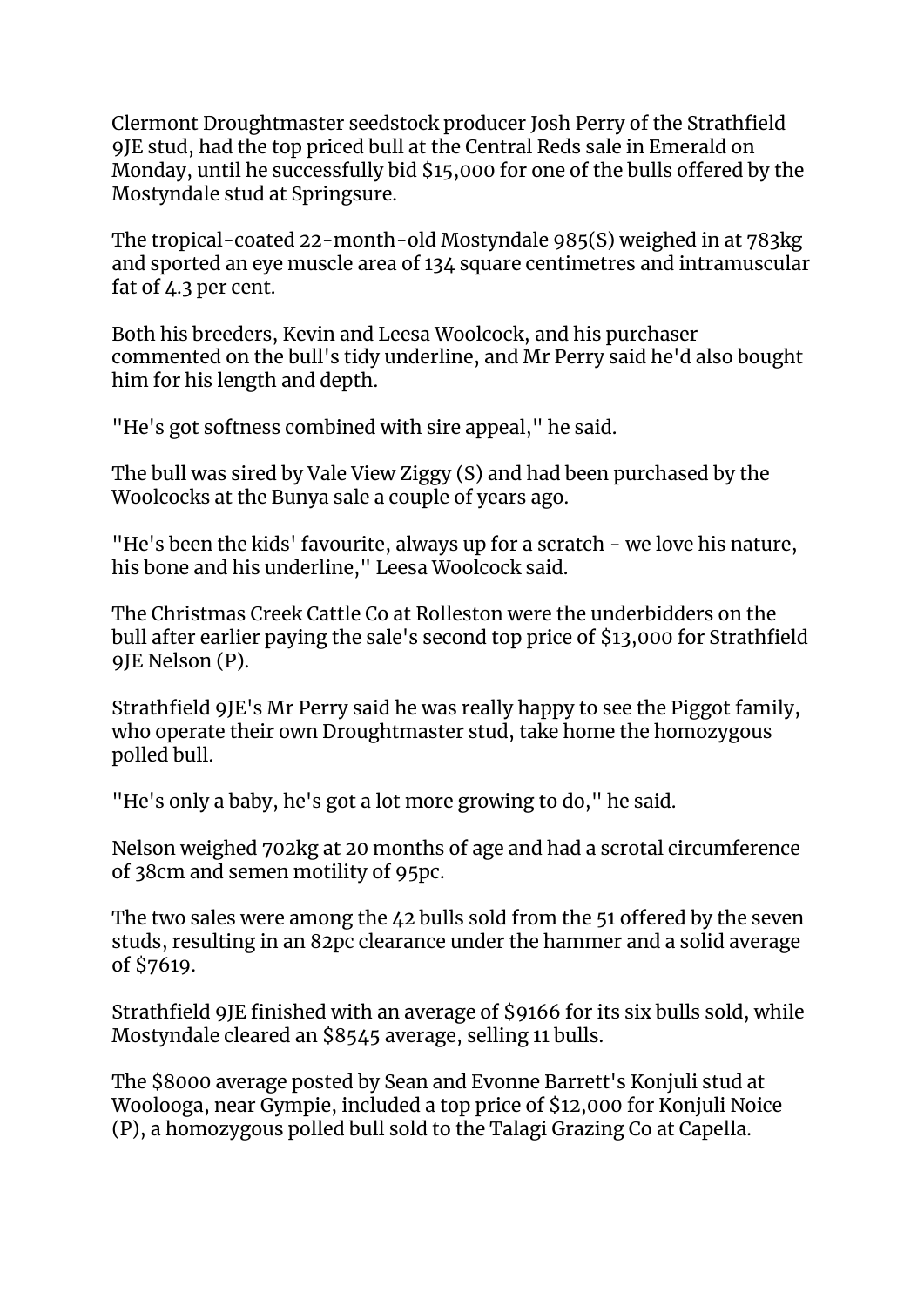Clermont Droughtmaster seedstock producer Josh Perry of the Strathfield 9JE stud, had the top priced bull at the Central Reds sale in Emerald on Monday, until he successfully bid \$15,000 for one of the bulls offered by the Mostyndale stud at Springsure.

The tropical-coated 22-month-old Mostyndale 985(S) weighed in at 783kg and sported an eye muscle area of 134 square centimetres and intramuscular fat of 4.3 per cent.

Both his breeders, Kevin and Leesa Woolcock, and his purchaser commented on the bull's tidy underline, and Mr Perry said he'd also bought him for his length and depth.

"He's got softness combined with sire appeal," he said.

The bull was sired by Vale View Ziggy (S) and had been purchased by the Woolcocks at the Bunya sale a couple of years ago.

"He's been the kids' favourite, always up for a scratch - we love his nature, his bone and his underline," Leesa Woolcock said.

The Christmas Creek Cattle Co at Rolleston were the underbidders on the bull after earlier paying the sale's second top price of \$13,000 for Strathfield 9JE Nelson (P).

Strathfield 9JE's Mr Perry said he was really happy to see the Piggot family, who operate their own Droughtmaster stud, take home the homozygous polled bull.

"He's only a baby, he's got a lot more growing to do," he said.

Nelson weighed 702kg at 20 months of age and had a scrotal circumference of 38cm and semen motility of 95pc.

The two sales were among the 42 bulls sold from the 51 offered by the seven studs, resulting in an 82pc clearance under the hammer and a solid average of \$7619.

Strathfield 9JE finished with an average of \$9166 for its six bulls sold, while Mostyndale cleared an \$8545 average, selling 11 bulls.

The \$8000 average posted by Sean and Evonne Barrett's Konjuli stud at Woolooga, near Gympie, included a top price of \$12,000 for Konjuli Noice (P), a homozygous polled bull sold to the Talagi Grazing Co at Capella.